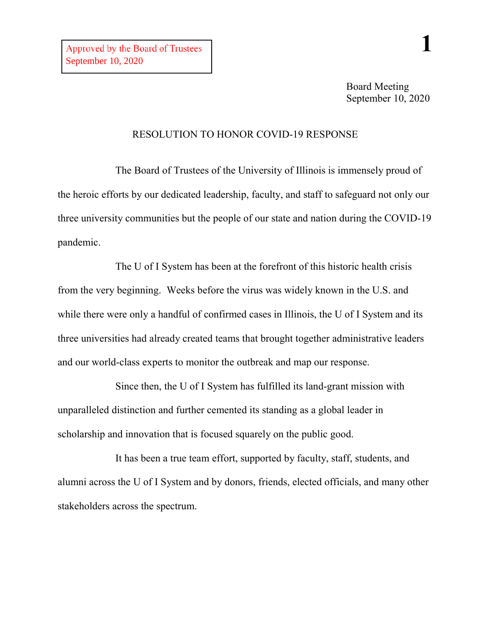## RESOLUTION TO HONOR COVID-19 RESPONSE

The Board of Trustees of the University of Illinois is immensely proud of the heroic efforts by our dedicated leadership, faculty, and staff to safeguard not only our three university communities but the people of our state and nation during the COVID-19 pandemic.

The U of I System has been at the forefront of this historic health crisis from the very beginning. Weeks before the virus was widely known in the U.S. and while there were only a handful of confirmed cases in Illinois, the U of I System and its three universities had already created teams that brought together administrative leaders and our world-class experts to monitor the outbreak and map our response.

Since then, the U of I System has fulfilled its land-grant mission with unparalleled distinction and further cemented its standing as a global leader in scholarship and innovation that is focused squarely on the public good.

It has been a true team effort, supported by faculty, staff, students, and alumni across the U of I System and by donors, friends, elected officials, and many other stakeholders across the spectrum.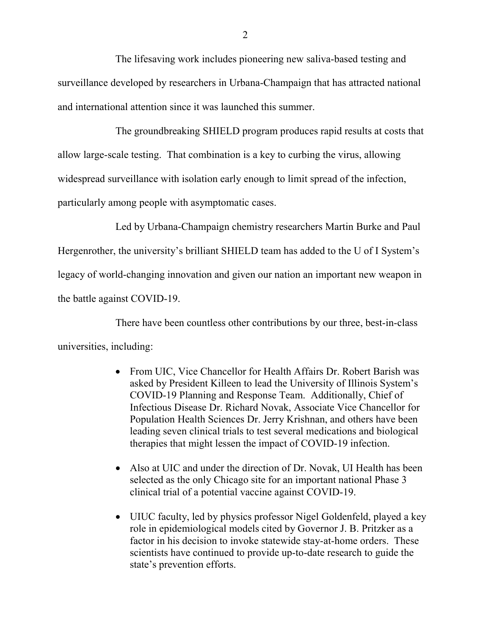The lifesaving work includes pioneering new saliva-based testing and surveillance developed by researchers in Urbana-Champaign that has attracted national and international attention since it was launched this summer.

The groundbreaking SHIELD program produces rapid results at costs that allow large-scale testing. That combination is a key to curbing the virus, allowing widespread surveillance with isolation early enough to limit spread of the infection, particularly among people with asymptomatic cases.

Led by Urbana-Champaign chemistry researchers Martin Burke and Paul Hergenrother, the university's brilliant SHIELD team has added to the U of I System's legacy of world-changing innovation and given our nation an important new weapon in the battle against COVID-19.

There have been countless other contributions by our three, best-in-class universities, including:

- From UIC, Vice Chancellor for Health Affairs Dr. Robert Barish was asked by President Killeen to lead the University of Illinois System's COVID-19 Planning and Response Team. Additionally, Chief of Infectious Disease Dr. Richard Novak, Associate Vice Chancellor for Population Health Sciences Dr. Jerry Krishnan, and others have been leading seven clinical trials to test several medications and biological therapies that might lessen the impact of COVID-19 infection.
- Also at UIC and under the direction of Dr. Novak, UI Health has been selected as the only Chicago site for an important national Phase 3 clinical trial of a potential vaccine against COVID-19.
- UIUC faculty, led by physics professor Nigel Goldenfeld, played a key role in epidemiological models cited by Governor J. B. Pritzker as a factor in his decision to invoke statewide stay-at-home orders. These scientists have continued to provide up-to-date research to guide the state's prevention efforts.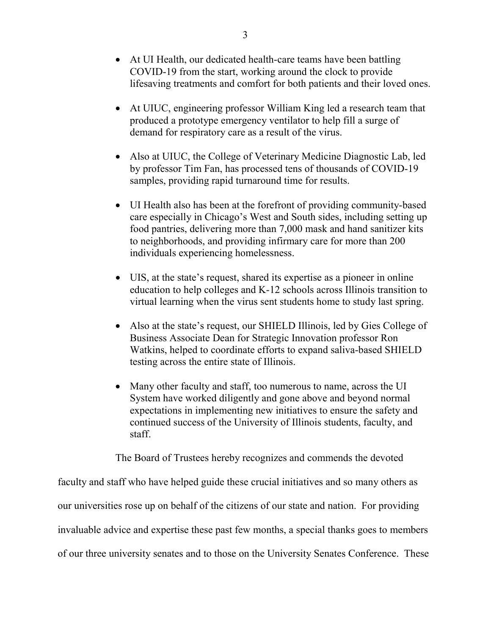- At UI Health, our dedicated health-care teams have been battling COVID-19 from the start, working around the clock to provide lifesaving treatments and comfort for both patients and their loved ones.
- At UIUC, engineering professor William King led a research team that produced a prototype emergency ventilator to help fill a surge of demand for respiratory care as a result of the virus.
- Also at UIUC, the College of Veterinary Medicine Diagnostic Lab, led by professor Tim Fan, has processed tens of thousands of COVID-19 samples, providing rapid turnaround time for results.
- UI Health also has been at the forefront of providing community-based care especially in Chicago's West and South sides, including setting up food pantries, delivering more than 7,000 mask and hand sanitizer kits to neighborhoods, and providing infirmary care for more than 200 individuals experiencing homelessness.
- UIS, at the state's request, shared its expertise as a pioneer in online education to help colleges and K-12 schools across Illinois transition to virtual learning when the virus sent students home to study last spring.
- Also at the state's request, our SHIELD Illinois, led by Gies College of Business Associate Dean for Strategic Innovation professor Ron Watkins, helped to coordinate efforts to expand saliva-based SHIELD testing across the entire state of Illinois.
- Many other faculty and staff, too numerous to name, across the UI System have worked diligently and gone above and beyond normal expectations in implementing new initiatives to ensure the safety and continued success of the University of Illinois students, faculty, and staff.

The Board of Trustees hereby recognizes and commends the devoted

faculty and staff who have helped guide these crucial initiatives and so many others as our universities rose up on behalf of the citizens of our state and nation. For providing invaluable advice and expertise these past few months, a special thanks goes to members of our three university senates and to those on the University Senates Conference. These